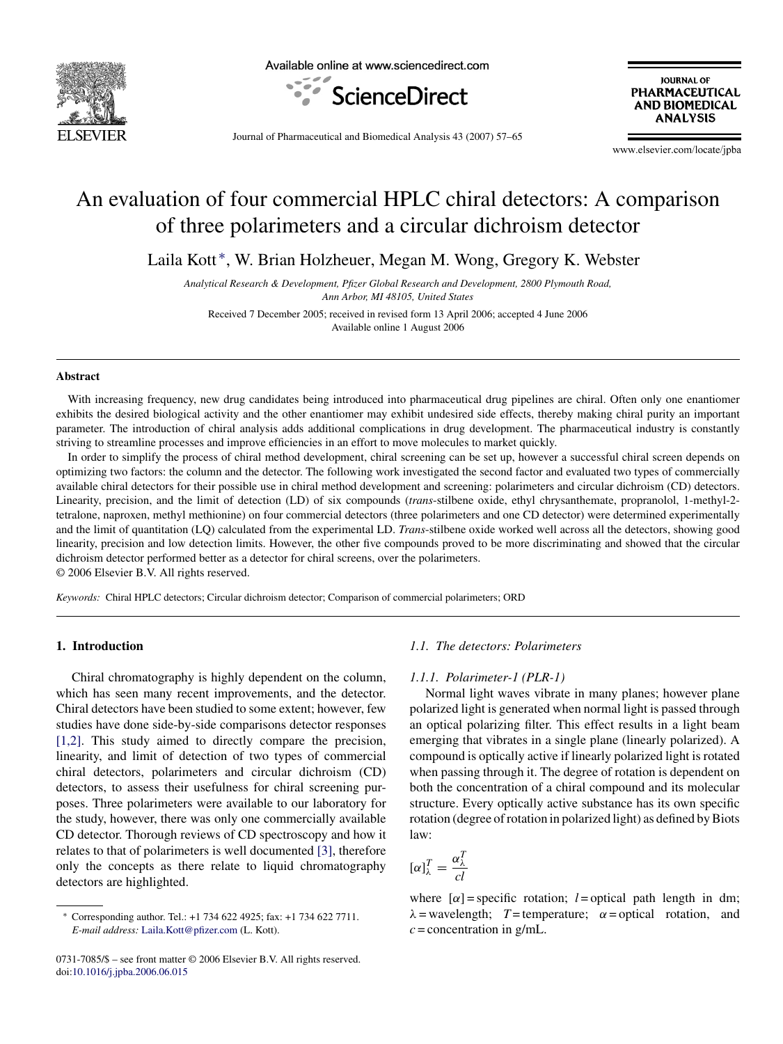

Available online at www.sciencedirect.com



**IOURNAL OF** PHARMACEUTICAL **AND BIOMEDICAL ANALYSIS** 

Journal of Pharmaceutical and Biomedical Analysis 43 (2007) 57–65

www.elsevier.com/locate/jpba

# An evaluation of four commercial HPLC chiral detectors: A comparison of three polarimeters and a circular dichroism detector

Laila Kott ∗, W. Brian Holzheuer, Megan M. Wong, Gregory K. Webster

*Analytical Research & Development, Pfizer Global Research and Development, 2800 Plymouth Road, Ann Arbor, MI 48105, United States*

Received 7 December 2005; received in revised form 13 April 2006; accepted 4 June 2006 Available online 1 August 2006

## **Abstract**

With increasing frequency, new drug candidates being introduced into pharmaceutical drug pipelines are chiral. Often only one enantiomer exhibits the desired biological activity and the other enantiomer may exhibit undesired side effects, thereby making chiral purity an important parameter. The introduction of chiral analysis adds additional complications in drug development. The pharmaceutical industry is constantly striving to streamline processes and improve efficiencies in an effort to move molecules to market quickly.

In order to simplify the process of chiral method development, chiral screening can be set up, however a successful chiral screen depends on optimizing two factors: the column and the detector. The following work investigated the second factor and evaluated two types of commercially available chiral detectors for their possible use in chiral method development and screening: polarimeters and circular dichroism (CD) detectors. Linearity, precision, and the limit of detection (LD) of six compounds (*trans*-stilbene oxide, ethyl chrysanthemate, propranolol, 1-methyl-2 tetralone, naproxen, methyl methionine) on four commercial detectors (three polarimeters and one CD detector) were determined experimentally and the limit of quantitation (LQ) calculated from the experimental LD. *Trans*-stilbene oxide worked well across all the detectors, showing good linearity, precision and low detection limits. However, the other five compounds proved to be more discriminating and showed that the circular dichroism detector performed better as a detector for chiral screens, over the polarimeters.

© 2006 Elsevier B.V. All rights reserved.

*Keywords:* Chiral HPLC detectors; Circular dichroism detector; Comparison of commercial polarimeters; ORD

# **1. Introduction**

Chiral chromatography is highly dependent on the column, which has seen many recent improvements, and the detector. Chiral detectors have been studied to some extent; however, few studies have done side-by-side comparisons detector responses [\[1,2\].](#page-8-0) This study aimed to directly compare the precision, linearity, and limit of detection of two types of commercial chiral detectors, polarimeters and circular dichroism (CD) detectors, to assess their usefulness for chiral screening purposes. Three polarimeters were available to our laboratory for the study, however, there was only one commercially available CD detector. Thorough reviews of CD spectroscopy and how it relates to that of polarimeters is well documented [\[3\], t](#page-8-0)herefore only the concepts as there relate to liquid chromatography detectors are highlighted.

0731-7085/\$ – see front matter © 2006 Elsevier B.V. All rights reserved. doi[:10.1016/j.jpba.2006.06.015](dx.doi.org/10.1016/j.jpba.2006.06.015)

# *1.1. The detectors: Polarimeters*

*1.1.1. Polarimeter-1 (PLR-1)*

Normal light waves vibrate in many planes; however plane polarized light is generated when normal light is passed through an optical polarizing filter. This effect results in a light beam emerging that vibrates in a single plane (linearly polarized). A compound is optically active if linearly polarized light is rotated when passing through it. The degree of rotation is dependent on both the concentration of a chiral compound and its molecular structure. Every optically active substance has its own specific rotation (degree of rotation in polarized light) as defined by Biots law:

$$
[\alpha]_{\lambda}^{T} = \frac{\alpha_{\lambda}^{T}}{cl}
$$

where  $[\alpha]$  = specific rotation;  $l$  = optical path length in dm;  $\lambda$  = wavelength; *T* = temperature;  $\alpha$  = optical rotation, and  $c =$  concentration in g/mL.

<sup>∗</sup> Corresponding author. Tel.: +1 734 622 4925; fax: +1 734 622 7711. *E-mail address:* [Laila.Kott@pfizer.com](mailto:Laila.Kott@pfizer.com) (L. Kott).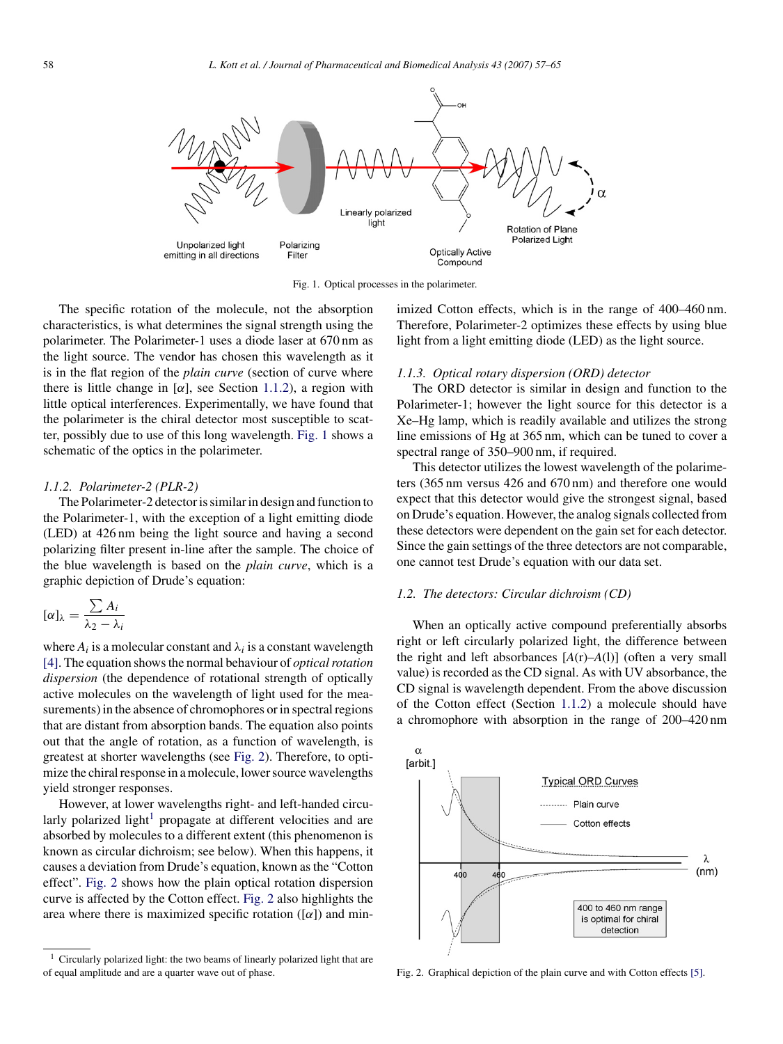

Fig. 1. Optical processes in the polarimeter.

The specific rotation of the molecule, not the absorption characteristics, is what determines the signal strength using the polarimeter. The Polarimeter-1 uses a diode laser at 670 nm as the light source. The vendor has chosen this wavelength as it is in the flat region of the *plain curve* (section of curve where there is little change in [ $\alpha$ ], see Section 1.1.2), a region with little optical interferences. Experimentally, we have found that the polarimeter is the chiral detector most susceptible to scatter, possibly due to use of this long wavelength. Fig. 1 shows a schematic of the optics in the polarimeter.

## *1.1.2. Polarimeter-2 (PLR-2)*

The Polarimeter-2 detector is similar in design and function to the Polarimeter-1, with the exception of a light emitting diode (LED) at 426 nm being the light source and having a second polarizing filter present in-line after the sample. The choice of the blue wavelength is based on the *plain curve*, which is a graphic depiction of Drude's equation:

$$
[\alpha]_{\lambda} = \frac{\sum A_i}{\lambda_2 - \lambda_i}
$$

where  $A_i$  is a molecular constant and  $\lambda_i$  is a constant wavelength [\[4\]. T](#page-8-0)he equation shows the normal behaviour of *optical rotation dispersion* (the dependence of rotational strength of optically active molecules on the wavelength of light used for the measurements) in the absence of chromophores or in spectral regions that are distant from absorption bands. The equation also points out that the angle of rotation, as a function of wavelength, is greatest at shorter wavelengths (see Fig. 2). Therefore, to optimize the chiral response in a molecule, lower source wavelengths yield stronger responses.

However, at lower wavelengths right- and left-handed circularly polarized light<sup>1</sup> propagate at different velocities and are absorbed by molecules to a different extent (this phenomenon is known as circular dichroism; see below). When this happens, it causes a deviation from Drude's equation, known as the "Cotton effect". Fig. 2 shows how the plain optical rotation dispersion curve is affected by the Cotton effect. Fig. 2 also highlights the area where there is maximized specific rotation ( $\alpha$ ) and minimized Cotton effects, which is in the range of 400–460 nm. Therefore, Polarimeter-2 optimizes these effects by using blue light from a light emitting diode (LED) as the light source.

#### *1.1.3. Optical rotary dispersion (ORD) detector*

The ORD detector is similar in design and function to the Polarimeter-1; however the light source for this detector is a Xe–Hg lamp, which is readily available and utilizes the strong line emissions of Hg at 365 nm, which can be tuned to cover a spectral range of 350–900 nm, if required.

This detector utilizes the lowest wavelength of the polarimeters (365 nm versus 426 and 670 nm) and therefore one would expect that this detector would give the strongest signal, based on Drude's equation. However, the analog signals collected from these detectors were dependent on the gain set for each detector. Since the gain settings of the three detectors are not comparable, one cannot test Drude's equation with our data set.

#### *1.2. The detectors: Circular dichroism (CD)*

When an optically active compound preferentially absorbs right or left circularly polarized light, the difference between the right and left absorbances [*A*(r)–*A*(l)] (often a very small value) is recorded as the CD signal. As with UV absorbance, the CD signal is wavelength dependent. From the above discussion of the Cotton effect (Section 1.1.2) a molecule should have a chromophore with absorption in the range of 200–420 nm



Fig. 2. Graphical depiction of the plain curve and with Cotton effects [\[5\].](#page-8-0)

<sup>&</sup>lt;sup>1</sup> Circularly polarized light: the two beams of linearly polarized light that are of equal amplitude and are a quarter wave out of phase.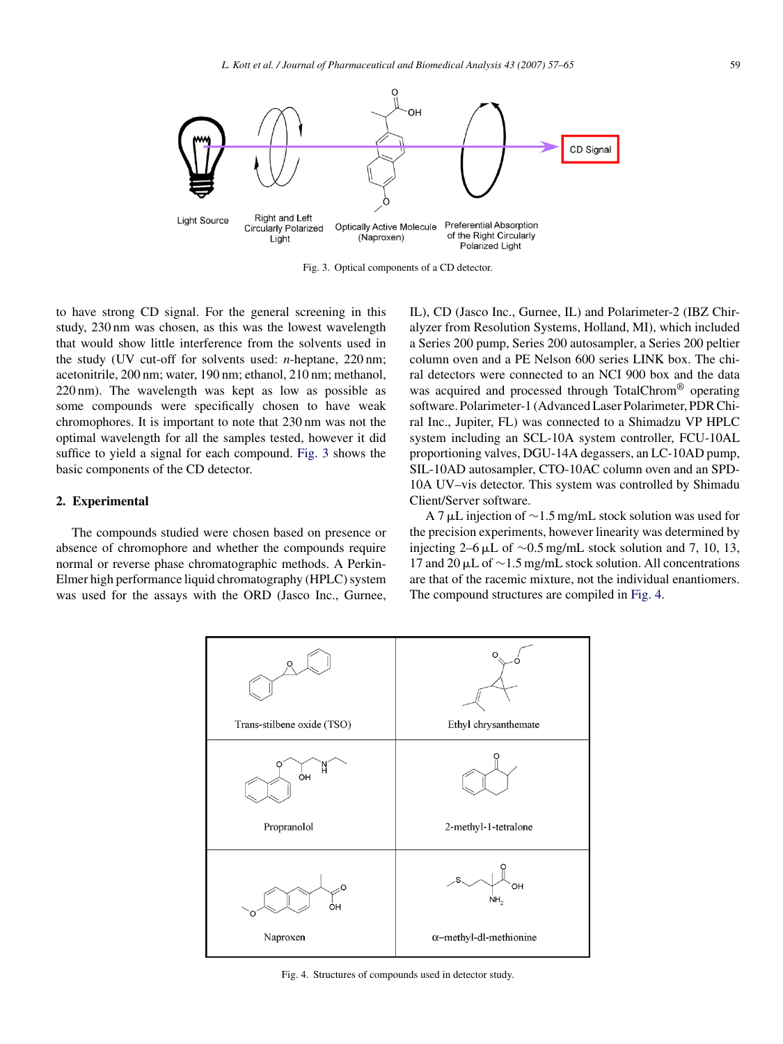

Fig. 3. Optical components of a CD detector.

to have strong CD signal. For the general screening in this study, 230 nm was chosen, as this was the lowest wavelength that would show little interference from the solvents used in the study (UV cut-off for solvents used: *n*-heptane, 220 nm; acetonitrile, 200 nm; water, 190 nm; ethanol, 210 nm; methanol, 220 nm). The wavelength was kept as low as possible as some compounds were specifically chosen to have weak chromophores. It is important to note that 230 nm was not the optimal wavelength for all the samples tested, however it did suffice to yield a signal for each compound. Fig. 3 shows the basic components of the CD detector.

## **2. Experimental**

The compounds studied were chosen based on presence or absence of chromophore and whether the compounds require normal or reverse phase chromatographic methods. A Perkin-Elmer high performance liquid chromatography (HPLC) system was used for the assays with the ORD (Jasco Inc., Gurnee,

IL), CD (Jasco Inc., Gurnee, IL) and Polarimeter-2 (IBZ Chiralyzer from Resolution Systems, Holland, MI), which included a Series 200 pump, Series 200 autosampler, a Series 200 peltier column oven and a PE Nelson 600 series LINK box. The chiral detectors were connected to an NCI 900 box and the data was acquired and processed through TotalChrom® operating software. Polarimeter-1 (Advanced Laser Polarimeter, PDR Chiral Inc., Jupiter, FL) was connected to a Shimadzu VP HPLC system including an SCL-10A system controller, FCU-10AL proportioning valves, DGU-14A degassers, an LC-10AD pump, SIL-10AD autosampler, CTO-10AC column oven and an SPD-10A UV–vis detector. This system was controlled by Shimadu Client/Server software.

A 7 μL injection of ∼1.5 mg/mL stock solution was used for the precision experiments, however linearity was determined by injecting 2–6 μL of ∼0.5 mg/mL stock solution and 7, 10, 13, 17 and 20 μL of ∼1.5 mg/mL stock solution. All concentrations are that of the racemic mixture, not the individual enantiomers. The compound structures are compiled in Fig. 4.



Fig. 4. Structures of compounds used in detector study.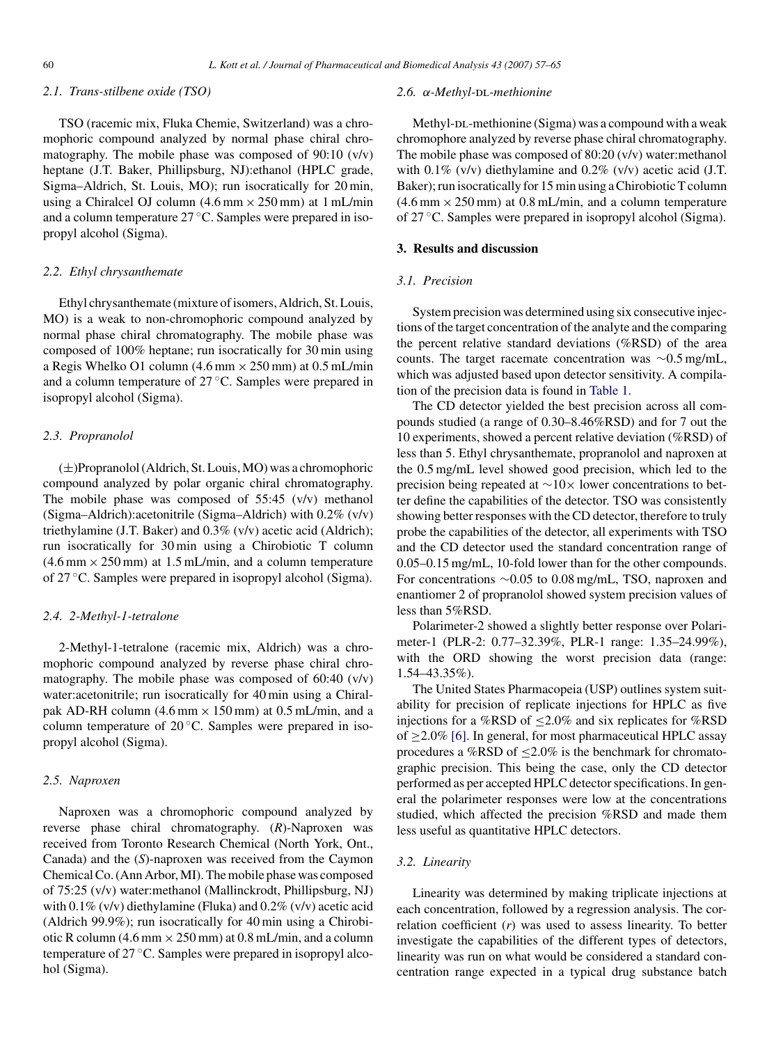## *2.1. Trans-stilbene oxide (TSO)*

TSO (racemic mix, Fluka Chemie, Switzerland) was a chromophoric compound analyzed by normal phase chiral chromatography. The mobile phase was composed of 90:10 (v/v) heptane (J.T. Baker, Phillipsburg, NJ):ethanol (HPLC grade, Sigma–Aldrich, St. Louis, MO); run isocratically for 20 min, using a Chiralcel OJ column  $(4.6 \text{ mm} \times 250 \text{ mm})$  at 1 mL/min and a column temperature 27 °C. Samples were prepared in isopropyl alcohol (Sigma).

## *2.2. Ethyl chrysanthemate*

Ethyl chrysanthemate (mixture of isomers, Aldrich, St. Louis, MO) is a weak to non-chromophoric compound analyzed by normal phase chiral chromatography. The mobile phase was composed of 100% heptane; run isocratically for 30 min using a Regis Whelko O1 column (4.6 mm × 250 mm) at 0.5 mL/min and a column temperature of 27 ◦C. Samples were prepared in isopropyl alcohol (Sigma).

# *2.3. Propranolol*

(±)Propranolol (Aldrich, St. Louis, MO) was a chromophoric compound analyzed by polar organic chiral chromatography. The mobile phase was composed of 55:45 (v/v) methanol (Sigma–Aldrich):acetonitrile (Sigma–Aldrich) with 0.2% (v/v) triethylamine (J.T. Baker) and 0.3% (v/v) acetic acid (Aldrich); run isocratically for 30 min using a Chirobiotic T column  $(4.6 \text{ mm} \times 250 \text{ mm})$  at 1.5 mL/min, and a column temperature of 27 ◦C. Samples were prepared in isopropyl alcohol (Sigma).

## *2.4. 2-Methyl-1-tetralone*

2-Methyl-1-tetralone (racemic mix, Aldrich) was a chromophoric compound analyzed by reverse phase chiral chromatography. The mobile phase was composed of 60:40 (v/v) water:acetonitrile; run isocratically for 40 min using a Chiralpak AD-RH column  $(4.6 \text{ mm} \times 150 \text{ mm})$  at 0.5 mL/min, and a column temperature of  $20^{\circ}$ C. Samples were prepared in isopropyl alcohol (Sigma).

# *2.5. Naproxen*

Naproxen was a chromophoric compound analyzed by reverse phase chiral chromatography. (*R*)-Naproxen was received from Toronto Research Chemical (North York, Ont., Canada) and the (*S*)-naproxen was received from the Caymon Chemical Co. (Ann Arbor, MI). The mobile phase was composed of 75:25 (v/v) water:methanol (Mallinckrodt, Phillipsburg, NJ) with  $0.1\%$  (v/v) diethylamine (Fluka) and  $0.2\%$  (v/v) acetic acid (Aldrich 99.9%); run isocratically for 40 min using a Chirobiotic R column (4.6 mm  $\times$  250 mm) at 0.8 mL/min, and a column temperature of 27 °C. Samples were prepared in isopropyl alcohol (Sigma).

#### *2.6. α-Methyl-*dl*-methionine*

Methyl-DL-methionine (Sigma) was a compound with a weak chromophore analyzed by reverse phase chiral chromatography. The mobile phase was composed of 80:20 (v/v) water:methanol with 0.1% (v/v) diethylamine and 0.2% (v/v) acetic acid (J.T. Baker); run isocratically for 15 min using a Chirobiotic T column  $(4.6 \text{ mm} \times 250 \text{ mm})$  at 0.8 mL/min, and a column temperature of 27 ◦C. Samples were prepared in isopropyl alcohol (Sigma).

## **3. Results and discussion**

## *3.1. Precision*

System precision was determined using six consecutive injections of the target concentration of the analyte and the comparing the percent relative standard deviations (%RSD) of the area counts. The target racemate concentration was ∼0.5 mg/mL, which was adjusted based upon detector sensitivity. A compilation of the precision data is found in [Table 1.](#page-4-0)

The CD detector yielded the best precision across all compounds studied (a range of 0.30–8.46%RSD) and for 7 out the 10 experiments, showed a percent relative deviation (%RSD) of less than 5. Ethyl chrysanthemate, propranolol and naproxen at the 0.5 mg/mL level showed good precision, which led to the precision being repeated at ∼10× lower concentrations to better define the capabilities of the detector. TSO was consistently showing better responses with the CD detector, therefore to truly probe the capabilities of the detector, all experiments with TSO and the CD detector used the standard concentration range of 0.05–0.15 mg/mL, 10-fold lower than for the other compounds. For concentrations ∼0.05 to 0.08 mg/mL, TSO, naproxen and enantiomer 2 of propranolol showed system precision values of less than 5%RSD.

Polarimeter-2 showed a slightly better response over Polarimeter-1 (PLR-2: 0.77–32.39%, PLR-1 range: 1.35–24.99%), with the ORD showing the worst precision data (range: 1.54–43.35%).

The United States Pharmacopeia (USP) outlines system suitability for precision of replicate injections for HPLC as five injections for a %RSD of  $\leq$ 2.0% and six replicates for %RSD of  $\geq$  2.0% [\[6\]. I](#page-8-0)n general, for most pharmaceutical HPLC assay procedures a %RSD of  $\leq$ 2.0% is the benchmark for chromatographic precision. This being the case, only the CD detector performed as per accepted HPLC detector specifications. In general the polarimeter responses were low at the concentrations studied, which affected the precision %RSD and made them less useful as quantitative HPLC detectors.

#### *3.2. Linearity*

Linearity was determined by making triplicate injections at each concentration, followed by a regression analysis. The correlation coefficient (*r*) was used to assess linearity. To better investigate the capabilities of the different types of detectors, linearity was run on what would be considered a standard concentration range expected in a typical drug substance batch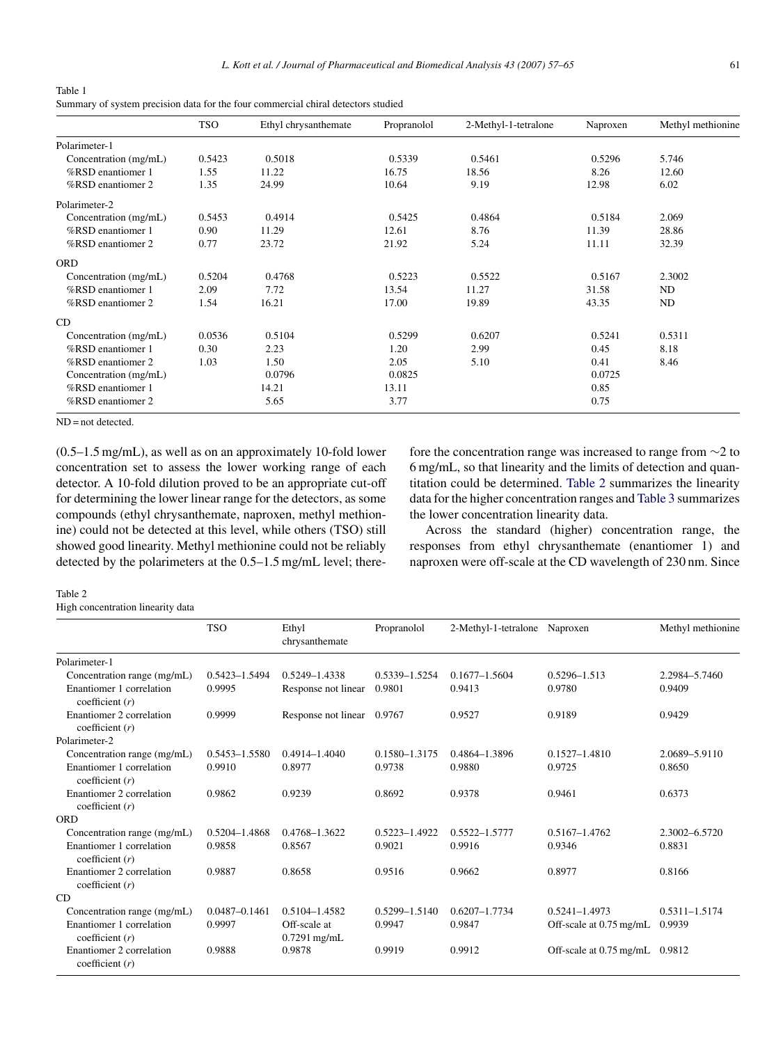<span id="page-4-0"></span>

| Table 1                                                                           |
|-----------------------------------------------------------------------------------|
| Summary of system precision data for the four commercial chiral detectors studied |

|                       | <b>TSO</b> | Ethyl chrysanthemate | Propranolol | 2-Methyl-1-tetralone | Naproxen | Methyl methionine |
|-----------------------|------------|----------------------|-------------|----------------------|----------|-------------------|
| Polarimeter-1         |            |                      |             |                      |          |                   |
| Concentration (mg/mL) | 0.5423     | 0.5018               | 0.5339      | 0.5461               | 0.5296   | 5.746             |
| %RSD enantiomer 1     | 1.55       | 11.22                | 16.75       | 18.56                | 8.26     | 12.60             |
| %RSD enantiomer 2     | 1.35       | 24.99                | 10.64       | 9.19                 | 12.98    | 6.02              |
| Polarimeter-2         |            |                      |             |                      |          |                   |
| Concentration (mg/mL) | 0.5453     | 0.4914               | 0.5425      | 0.4864               | 0.5184   | 2.069             |
| %RSD enantiomer 1     | 0.90       | 11.29                | 12.61       | 8.76                 | 11.39    | 28.86             |
| %RSD enantiomer 2     | 0.77       | 23.72                | 21.92       | 5.24                 | 11.11    | 32.39             |
| <b>ORD</b>            |            |                      |             |                      |          |                   |
| Concentration (mg/mL) | 0.5204     | 0.4768               | 0.5223      | 0.5522               | 0.5167   | 2.3002            |
| %RSD enantiomer 1     | 2.09       | 7.72                 | 13.54       | 11.27                | 31.58    | ND                |
| %RSD enantiomer 2     | 1.54       | 16.21                | 17.00       | 19.89                | 43.35    | ND                |
| CD                    |            |                      |             |                      |          |                   |
| Concentration (mg/mL) | 0.0536     | 0.5104               | 0.5299      | 0.6207               | 0.5241   | 0.5311            |
| %RSD enantiomer 1     | 0.30       | 2.23                 | 1.20        | 2.99                 | 0.45     | 8.18              |
| %RSD enantiomer 2     | 1.03       | 1.50                 | 2.05        | 5.10                 | 0.41     | 8.46              |
| Concentration (mg/mL) |            | 0.0796               | 0.0825      |                      | 0.0725   |                   |
| %RSD enantiomer 1     |            | 14.21                | 13.11       |                      | 0.85     |                   |
| %RSD enantiomer 2     |            | 5.65                 | 3.77        |                      | 0.75     |                   |

 $ND = not detected.$ 

(0.5–1.5 mg/mL), as well as on an approximately 10-fold lower concentration set to assess the lower working range of each detector. A 10-fold dilution proved to be an appropriate cut-off for determining the lower linear range for the detectors, as some compounds (ethyl chrysanthemate, naproxen, methyl methionine) could not be detected at this level, while others (TSO) still showed good linearity. Methyl methionine could not be reliably detected by the polarimeters at the 0.5–1.5 mg/mL level; therefore the concentration range was increased to range from ∼2 to 6 mg/mL, so that linearity and the limits of detection and quantitation could be determined. Table 2 summarizes the linearity data for the higher concentration ranges and [Table 3](#page-5-0) summarizes the lower concentration linearity data.

Across the standard (higher) concentration range, the responses from ethyl chrysanthemate (enantiomer 1) and naproxen were off-scale at the CD wavelength of 230 nm. Since

#### Table 2

High concentration linearity data

|                                               | <b>TSO</b>        | Ethyl<br>chrysanthemate        | Propranolol       | 2-Methyl-1-tetralone Naproxen |                         | Methyl methionine |
|-----------------------------------------------|-------------------|--------------------------------|-------------------|-------------------------------|-------------------------|-------------------|
| Polarimeter-1                                 |                   |                                |                   |                               |                         |                   |
| Concentration range (mg/mL)                   | 0.5423-1.5494     | 0.5249-1.4338                  | 0.5339-1.5254     | $0.1677 - 1.5604$             | 0.5296-1.513            | 2.2984-5.7460     |
| Enantiomer 1 correlation<br>coefficient $(r)$ | 0.9995            | Response not linear            | 0.9801            | 0.9413                        | 0.9780                  | 0.9409            |
| Enantiomer 2 correlation<br>coefficient $(r)$ | 0.9999            | Response not linear            | 0.9767            | 0.9527                        | 0.9189                  | 0.9429            |
| Polarimeter-2                                 |                   |                                |                   |                               |                         |                   |
| Concentration range (mg/mL)                   | 0.5453-1.5580     | $0.4914 - 1.4040$              | 0.1580-1.3175     | 0.4864-1.3896                 | $0.1527 - 1.4810$       | 2.0689-5.9110     |
| Enantiomer 1 correlation<br>coefficient $(r)$ | 0.9910            | 0.8977                         | 0.9738            | 0.9880                        | 0.9725                  | 0.8650            |
| Enantiomer 2 correlation<br>coefficient $(r)$ | 0.9862            | 0.9239                         | 0.8692            | 0.9378                        | 0.9461                  | 0.6373            |
| <b>ORD</b>                                    |                   |                                |                   |                               |                         |                   |
| Concentration range (mg/mL)                   | $0.5204 - 1.4868$ | 0.4768-1.3622                  | $0.5223 - 1.4922$ | $0.5522 - 1.5777$             | $0.5167 - 1.4762$       | 2.3002-6.5720     |
| Enantiomer 1 correlation<br>coefficient $(r)$ | 0.9858            | 0.8567                         | 0.9021            | 0.9916                        | 0.9346                  | 0.8831            |
| Enantiomer 2 correlation<br>coefficient $(r)$ | 0.9887            | 0.8658                         | 0.9516            | 0.9662                        | 0.8977                  | 0.8166            |
| CD                                            |                   |                                |                   |                               |                         |                   |
| Concentration range (mg/mL)                   | $0.0487 - 0.1461$ | 0.5104-1.4582                  | 0.5299-1.5140     | $0.6207 - 1.7734$             | $0.5241 - 1.4973$       | $0.5311 - 1.5174$ |
| Enantiomer 1 correlation<br>coefficient $(r)$ | 0.9997            | Off-scale at<br>$0.7291$ mg/mL | 0.9947            | 0.9847                        | Off-scale at 0.75 mg/mL | 0.9939            |
| Enantiomer 2 correlation<br>coefficient $(r)$ | 0.9888            | 0.9878                         | 0.9919            | 0.9912                        | Off-scale at 0.75 mg/mL | 0.9812            |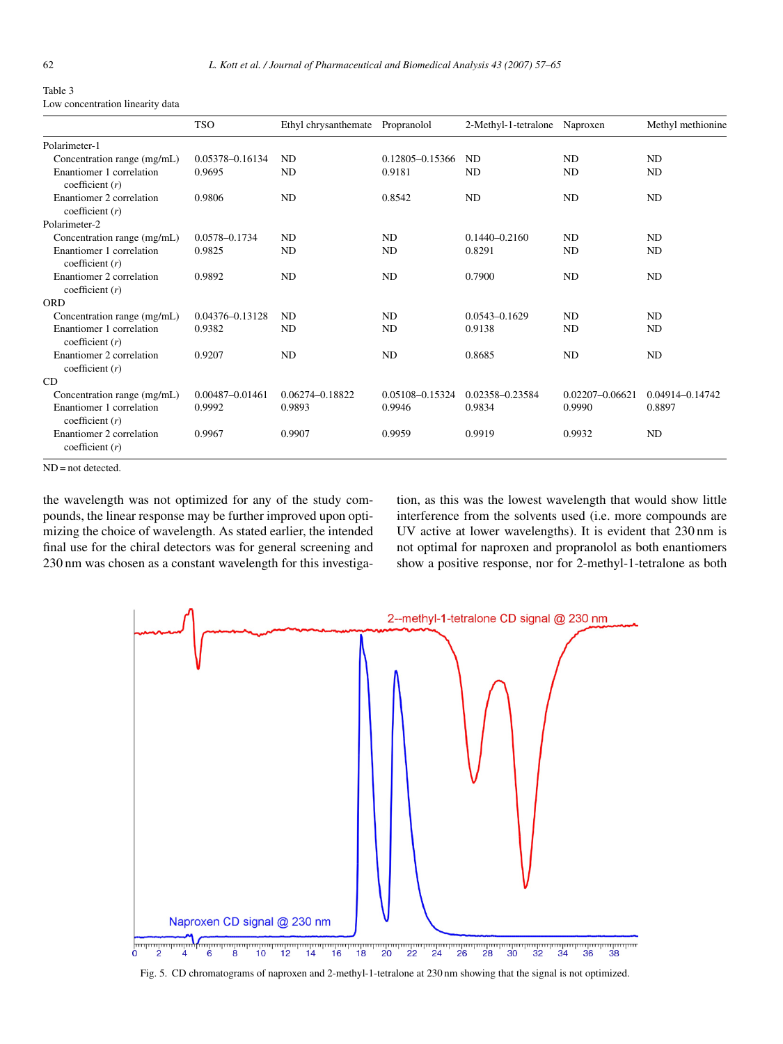<span id="page-5-0"></span>

| Table 3                          |  |
|----------------------------------|--|
| Low concentration linearity data |  |

|                                               | <b>TSO</b>      | Ethyl chrysanthemate | Propranolol     | 2-Methyl-1-tetralone | Naproxen        | Methyl methionine |
|-----------------------------------------------|-----------------|----------------------|-----------------|----------------------|-----------------|-------------------|
| Polarimeter-1                                 |                 |                      |                 |                      |                 |                   |
| Concentration range (mg/mL)                   | 0.05378-0.16134 | <b>ND</b>            | 0.12805-0.15366 | <b>ND</b>            | <b>ND</b>       | <b>ND</b>         |
| Enantiomer 1 correlation<br>coefficient $(r)$ | 0.9695          | ND                   | 0.9181          | <b>ND</b>            | <b>ND</b>       | <b>ND</b>         |
| Enantiomer 2 correlation<br>coefficient $(r)$ | 0.9806          | N <sub>D</sub>       | 0.8542          | <b>ND</b>            | <b>ND</b>       | <b>ND</b>         |
| Polarimeter-2                                 |                 |                      |                 |                      |                 |                   |
| Concentration range (mg/mL)                   | 0.0578-0.1734   | ND                   | ND              | $0.1440 - 0.2160$    | ND              | ND.               |
| Enantiomer 1 correlation<br>coefficient $(r)$ | 0.9825          | N <sub>D</sub>       | N <sub>D</sub>  | 0.8291               | <b>ND</b>       | <b>ND</b>         |
| Enantiomer 2 correlation<br>coefficient $(r)$ | 0.9892          | N <sub>D</sub>       | N <sub>D</sub>  | 0.7900               | <b>ND</b>       | ND                |
| ORD                                           |                 |                      |                 |                      |                 |                   |
| Concentration range (mg/mL)                   | 0.04376-0.13128 | <b>ND</b>            | N <sub>D</sub>  | $0.0543 - 0.1629$    | <b>ND</b>       | <b>ND</b>         |
| Enantiomer 1 correlation<br>coefficient $(r)$ | 0.9382          | N <sub>D</sub>       | N <sub>D</sub>  | 0.9138               | <b>ND</b>       | <b>ND</b>         |
| Enantiomer 2 correlation<br>coefficient $(r)$ | 0.9207          | N <sub>D</sub>       | N <sub>D</sub>  | 0.8685               | <b>ND</b>       | <b>ND</b>         |
| CD                                            |                 |                      |                 |                      |                 |                   |
| Concentration range (mg/mL)                   | 0.00487-0.01461 | 0.06274-0.18822      | 0.05108-0.15324 | 0.02358-0.23584      | 0.02207-0.06621 | 0.04914-0.14742   |
| Enantiomer 1 correlation<br>coefficient $(r)$ | 0.9992          | 0.9893               | 0.9946          | 0.9834               | 0.9990          | 0.8897            |
| Enantiomer 2 correlation<br>coefficient $(r)$ | 0.9967          | 0.9907               | 0.9959          | 0.9919               | 0.9932          | <b>ND</b>         |
| $ND = not detected$ .                         |                 |                      |                 |                      |                 |                   |

the wavelength was not optimized for any of the study compounds, the linear response may be further improved upon optimizing the choice of wavelength. As stated earlier, the intended final use for the chiral detectors was for general screening and 230 nm was chosen as a constant wavelength for this investigation, as this was the lowest wavelength that would show little interference from the solvents used (i.e. more compounds are UV active at lower wavelengths). It is evident that 230 nm is not optimal for naproxen and propranolol as both enantiomers show a positive response, nor for 2-methyl-1-tetralone as both



Fig. 5. CD chromatograms of naproxen and 2-methyl-1-tetralone at 230 nm showing that the signal is not optimized.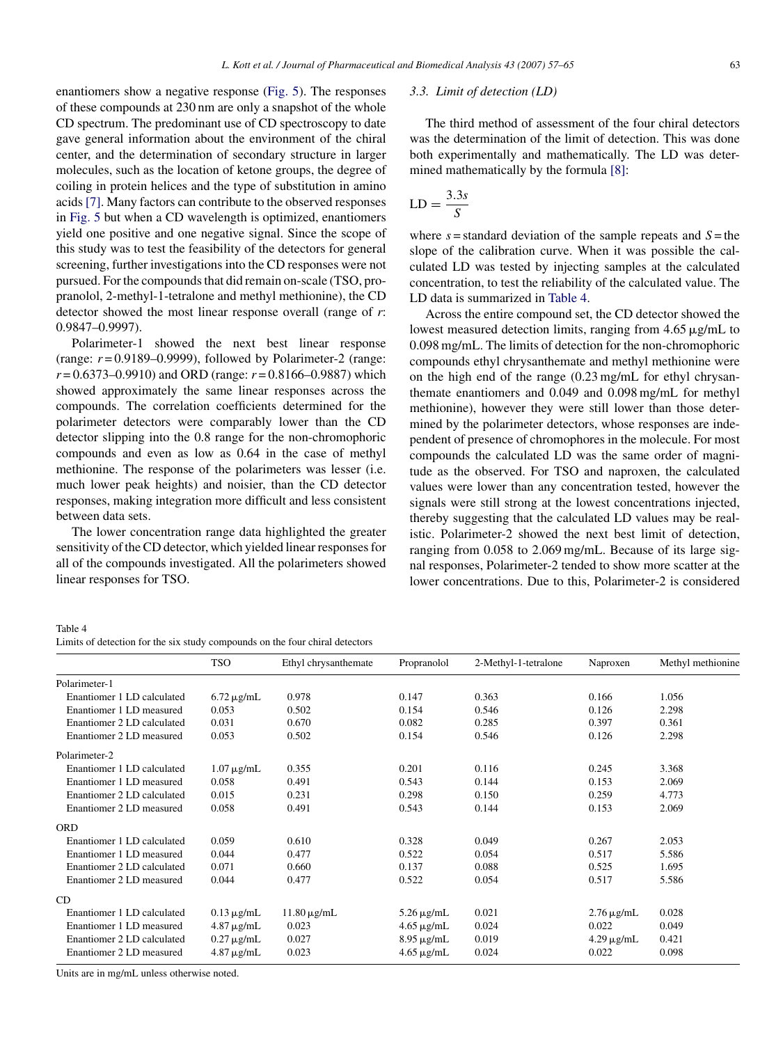<span id="page-6-0"></span>enantiomers show a negative response ([Fig. 5\).](#page-5-0) The responses of these compounds at 230 nm are only a snapshot of the whole CD spectrum. The predominant use of CD spectroscopy to date gave general information about the environment of the chiral center, and the determination of secondary structure in larger molecules, such as the location of ketone groups, the degree of coiling in protein helices and the type of substitution in amino acids [\[7\]. M](#page-8-0)any factors can contribute to the observed responses in [Fig. 5](#page-5-0) but when a CD wavelength is optimized, enantiomers yield one positive and one negative signal. Since the scope of this study was to test the feasibility of the detectors for general screening, further investigations into the CD responses were not pursued. For the compounds that did remain on-scale (TSO, propranolol, 2-methyl-1-tetralone and methyl methionine), the CD detector showed the most linear response overall (range of *r*: 0.9847–0.9997).

Polarimeter-1 showed the next best linear response (range:  $r = 0.9189 - 0.9999$ ), followed by Polarimeter-2 (range: *r* = 0.6373–0.9910) and ORD (range: *r* = 0.8166–0.9887) which showed approximately the same linear responses across the compounds. The correlation coefficients determined for the polarimeter detectors were comparably lower than the CD detector slipping into the 0.8 range for the non-chromophoric compounds and even as low as 0.64 in the case of methyl methionine. The response of the polarimeters was lesser (i.e. much lower peak heights) and noisier, than the CD detector responses, making integration more difficult and less consistent between data sets.

The lower concentration range data highlighted the greater sensitivity of the CD detector, which yielded linear responses for all of the compounds investigated. All the polarimeters showed linear responses for TSO.

#### *3.3. Limit of detection (LD)*

The third method of assessment of the four chiral detectors was the determination of the limit of detection. This was done both experimentally and mathematically. The LD was determined mathematically by the formula [\[8\]:](#page-8-0)

$$
LD = \frac{3.3s}{S}
$$

where  $s =$  standard deviation of the sample repeats and  $S =$  the slope of the calibration curve. When it was possible the calculated LD was tested by injecting samples at the calculated concentration, to test the reliability of the calculated value. The LD data is summarized in Table 4.

Across the entire compound set, the CD detector showed the lowest measured detection limits, ranging from 4.65  $\mu$ g/mL to 0.098 mg/mL. The limits of detection for the non-chromophoric compounds ethyl chrysanthemate and methyl methionine were on the high end of the range (0.23 mg/mL for ethyl chrysanthemate enantiomers and 0.049 and 0.098 mg/mL for methyl methionine), however they were still lower than those determined by the polarimeter detectors, whose responses are independent of presence of chromophores in the molecule. For most compounds the calculated LD was the same order of magnitude as the observed. For TSO and naproxen, the calculated values were lower than any concentration tested, however the signals were still strong at the lowest concentrations injected, thereby suggesting that the calculated LD values may be realistic. Polarimeter-2 showed the next best limit of detection, ranging from 0.058 to 2.069 mg/mL. Because of its large signal responses, Polarimeter-2 tended to show more scatter at the lower concentrations. Due to this, Polarimeter-2 is considered

#### Table 4

Limits of detection for the six study compounds on the four chiral detectors

|                            | <b>TSO</b>      | Ethyl chrysanthemate | Propranolol     | 2-Methyl-1-tetralone | Naproxen          | Methyl methionine |
|----------------------------|-----------------|----------------------|-----------------|----------------------|-------------------|-------------------|
| Polarimeter-1              |                 |                      |                 |                      |                   |                   |
| Enantiomer 1 LD calculated | $6.72 \mu g/mL$ | 0.978                | 0.147           | 0.363                | 0.166             | 1.056             |
| Enantiomer 1 LD measured   | 0.053           | 0.502                | 0.154           | 0.546                | 0.126             | 2.298             |
| Enantiomer 2 LD calculated | 0.031           | 0.670                | 0.082           | 0.285                | 0.397             | 0.361             |
| Enantiomer 2 LD measured   | 0.053           | 0.502                | 0.154           | 0.546                | 0.126             | 2.298             |
| Polarimeter-2              |                 |                      |                 |                      |                   |                   |
| Enantiomer 1 LD calculated | $1.07 \mu$ g/mL | 0.355                | 0.201           | 0.116                | 0.245             | 3.368             |
| Enantiomer 1 LD measured   | 0.058           | 0.491                | 0.543           | 0.144                | 0.153             | 2.069             |
| Enantiomer 2 LD calculated | 0.015           | 0.231                | 0.298           | 0.150                | 0.259             | 4.773             |
| Enantiomer 2 LD measured   | 0.058           | 0.491                | 0.543           | 0.144                | 0.153             | 2.069             |
| <b>ORD</b>                 |                 |                      |                 |                      |                   |                   |
| Enantiomer 1 LD calculated | 0.059           | 0.610                | 0.328           | 0.049                | 0.267             | 2.053             |
| Enantiomer 1 LD measured   | 0.044           | 0.477                | 0.522           | 0.054                | 0.517             | 5.586             |
| Enantiomer 2 LD calculated | 0.071           | 0.660                | 0.137           | 0.088                | 0.525             | 1.695             |
| Enantiomer 2 LD measured   | 0.044           | 0.477                | 0.522           | 0.054                | 0.517             | 5.586             |
| CD                         |                 |                      |                 |                      |                   |                   |
| Enantiomer 1 LD calculated | $0.13 \mu g/mL$ | $11.80 \,\mu g/mL$   | $5.26 \mu g/mL$ | 0.021                | $2.76 \mu$ g/mL   | 0.028             |
| Enantiomer 1 LD measured   | $4.87 \mu g/mL$ | 0.023                | $4.65 \mu g/mL$ | 0.024                | 0.022             | 0.049             |
| Enantiomer 2 LD calculated | $0.27 \mu$ g/mL | 0.027                | $8.95 \mu g/mL$ | 0.019                | $4.29 \,\mu g/mL$ | 0.421             |
| Enantiomer 2 LD measured   | $4.87 \mu g/mL$ | 0.023                | $4.65 \mu$ g/mL | 0.024                | 0.022             | 0.098             |

Units are in mg/mL unless otherwise noted.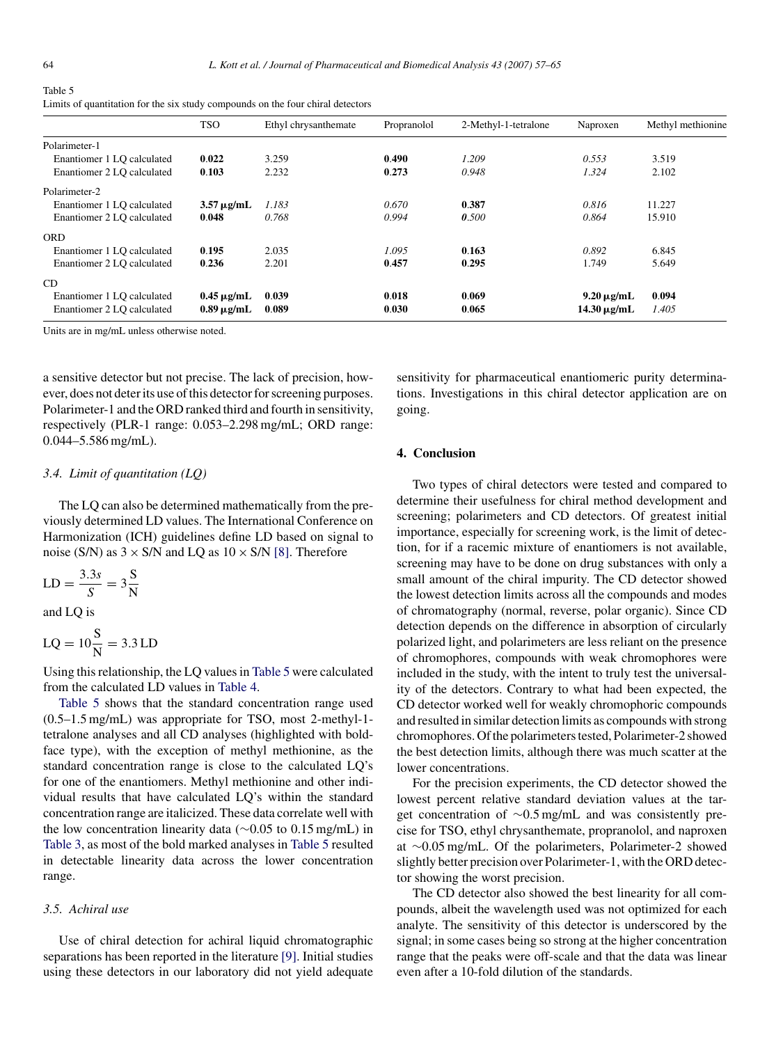| Table 5                                                                         |
|---------------------------------------------------------------------------------|
| Limits of quantitation for the six study compounds on the four chiral detectors |

|                            | <b>TSO</b>      | Ethyl chrysanthemate | Propranolol | 2-Methyl-1-tetralone | Naproxen         | Methyl methionine |
|----------------------------|-----------------|----------------------|-------------|----------------------|------------------|-------------------|
| Polarimeter-1              |                 |                      |             |                      |                  |                   |
| Enantiomer 1 LQ calculated | 0.022           | 3.259                | 0.490       | 1.209                | 0.553            | 3.519             |
| Enantiomer 2 LO calculated | 0.103           | 2.232                | 0.273       | 0.948                | 1.324            | 2.102             |
| Polarimeter-2              |                 |                      |             |                      |                  |                   |
| Enantiomer 1 LQ calculated | $3.57 \mu g/mL$ | 1.183                | 0.670       | 0.387                | 0.816            | 11.227            |
| Enantiomer 2 LO calculated | 0.048           | 0.768                | 0.994       | 0.500                | 0.864            | 15.910            |
| <b>ORD</b>                 |                 |                      |             |                      |                  |                   |
| Enantiomer 1 LO calculated | 0.195           | 2.035                | 1.095       | 0.163                | 0.892            | 6.845             |
| Enantiomer 2 LO calculated | 0.236           | 2.201                | 0.457       | 0.295                | 1.749            | 5.649             |
| CD                         |                 |                      |             |                      |                  |                   |
| Enantiomer 1 LO calculated | $0.45 \mu$ g/mL | 0.039                | 0.018       | 0.069                | $9.20 \mu g/mL$  | 0.094             |
| Enantiomer 2 LO calculated | $0.89 \mu g/mL$ | 0.089                | 0.030       | 0.065                | $14.30 \mu$ g/mL | 1.405             |

Units are in mg/mL unless otherwise noted.

a sensitive detector but not precise. The lack of precision, however, does not deter its use of this detector for screening purposes. Polarimeter-1 and the ORD ranked third and fourth in sensitivity, respectively (PLR-1 range: 0.053–2.298 mg/mL; ORD range: 0.044–5.586 mg/mL).

## *3.4. Limit of quantitation (LQ)*

The LQ can also be determined mathematically from the previously determined LD values. The International Conference on Harmonization (ICH) guidelines define LD based on signal to noise (S/N) as  $3 \times$  S/N and LQ as  $10 \times$  S/N [\[8\]. T](#page-8-0)herefore

$$
LD = \frac{3.3s}{S} = 3\frac{S}{N}
$$

and LQ is

$$
LQ = 10\frac{S}{N} = 3.3 \,\text{LD}
$$

Using this relationship, the LQ values in Table 5 were calculated from the calculated LD values in [Table 4.](#page-6-0)

Table 5 shows that the standard concentration range used (0.5–1.5 mg/mL) was appropriate for TSO, most 2-methyl-1 tetralone analyses and all CD analyses (highlighted with boldface type), with the exception of methyl methionine, as the standard concentration range is close to the calculated LQ's for one of the enantiomers. Methyl methionine and other individual results that have calculated LQ's within the standard concentration range are italicized. These data correlate well with the low concentration linearity data (∼0.05 to 0.15 mg/mL) in [Table 3, a](#page-5-0)s most of the bold marked analyses in Table 5 resulted in detectable linearity data across the lower concentration range.

# *3.5. Achiral use*

Use of chiral detection for achiral liquid chromatographic separations has been reported in the literature [\[9\]. I](#page-8-0)nitial studies using these detectors in our laboratory did not yield adequate sensitivity for pharmaceutical enantiomeric purity determinations. Investigations in this chiral detector application are on going.

# **4. Conclusion**

Two types of chiral detectors were tested and compared to determine their usefulness for chiral method development and screening; polarimeters and CD detectors. Of greatest initial importance, especially for screening work, is the limit of detection, for if a racemic mixture of enantiomers is not available, screening may have to be done on drug substances with only a small amount of the chiral impurity. The CD detector showed the lowest detection limits across all the compounds and modes of chromatography (normal, reverse, polar organic). Since CD detection depends on the difference in absorption of circularly polarized light, and polarimeters are less reliant on the presence of chromophores, compounds with weak chromophores were included in the study, with the intent to truly test the universality of the detectors. Contrary to what had been expected, the CD detector worked well for weakly chromophoric compounds and resulted in similar detection limits as compounds with strong chromophores. Of the polarimeters tested, Polarimeter-2 showed the best detection limits, although there was much scatter at the lower concentrations.

For the precision experiments, the CD detector showed the lowest percent relative standard deviation values at the target concentration of ∼0.5 mg/mL and was consistently precise for TSO, ethyl chrysanthemate, propranolol, and naproxen at ∼0.05 mg/mL. Of the polarimeters, Polarimeter-2 showed slightly better precision over Polarimeter-1, with the ORD detector showing the worst precision.

The CD detector also showed the best linearity for all compounds, albeit the wavelength used was not optimized for each analyte. The sensitivity of this detector is underscored by the signal; in some cases being so strong at the higher concentration range that the peaks were off-scale and that the data was linear even after a 10-fold dilution of the standards.